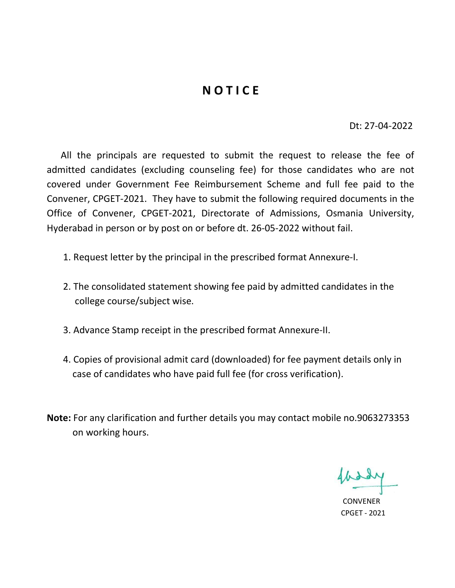# **NOTICE**

Dt: 27-04-2022

 All the principals are requested to submit the request to release the fee of admitted candidates (excluding counseling fee) for those candidates who are not covered under Government Fee Reimbursement Scheme and full fee paid to the Convener, CPGET-2021. They have to submit the following required documents in the Office of Convener, CPGET-2021, Directorate of Admissions, Osmania University, Hyderabad in person or by post on or before dt. 26-05-2022 without fail.

- 1. Request letter by the principal in the prescribed format Annexure-I.
- 2. The consolidated statement showing fee paid by admitted candidates in the college course/subject wise.
- 3. Advance Stamp receipt in the prescribed format Annexure-II.
- 4. Copies of provisional admit card (downloaded) for fee payment details only in case of candidates who have paid full fee (for cross verification).
- Note: For any clarification and further details you may contact mobile no.9063273353 on working hours.

 CONVENER CPGET - 2021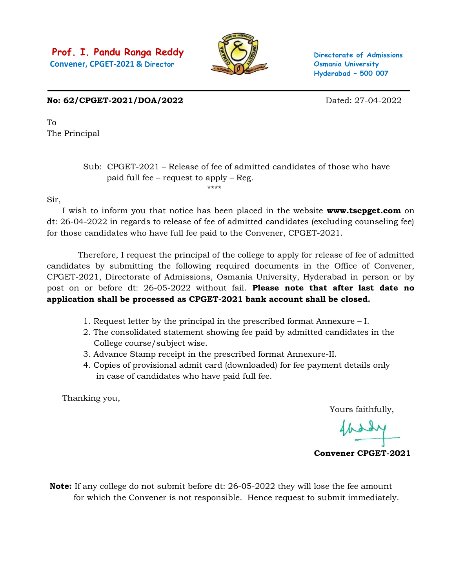

Directorate of Admissions Osmania University Hyderabad – 500 007

No: 62/CPGET-2021/DOA/2022 Dated: 27-04-2022

To The Principal

### Sub: CPGET-2021 – Release of fee of admitted candidates of those who have paid full fee – request to apply – Reg. \*\*\*\*

Sir,

I wish to inform you that notice has been placed in the website **www.tscpget.com** on dt: 26-04-2022 in regards to release of fee of admitted candidates (excluding counseling fee) for those candidates who have full fee paid to the Convener, CPGET-2021.

 Therefore, I request the principal of the college to apply for release of fee of admitted candidates by submitting the following required documents in the Office of Convener, CPGET-2021, Directorate of Admissions, Osmania University, Hyderabad in person or by post on or before dt: 26-05-2022 without fail. Please note that after last date no application shall be processed as CPGET-2021 bank account shall be closed.

- 1. Request letter by the principal in the prescribed format Annexure I.
- 2. The consolidated statement showing fee paid by admitted candidates in the College course/subject wise.
- 3. Advance Stamp receipt in the prescribed format Annexure-II.
- 4. Copies of provisional admit card (downloaded) for fee payment details only in case of candidates who have paid full fee.

Thanking you,

Yours faithfully,

Convener CPGET-2021

Note: If any college do not submit before dt: 26-05-2022 they will lose the fee amount for which the Convener is not responsible. Hence request to submit immediately.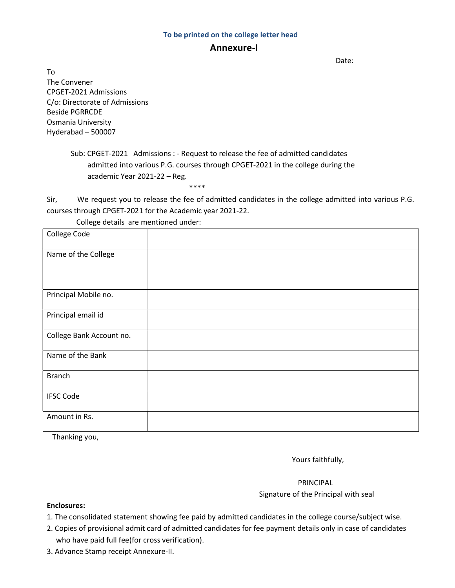#### To be printed on the college letter head

### Annexure-I

discussion of the contract of the contract of the Date:

To The Convener CPGET-2021 Admissions C/o: Directorate of Admissions Beside PGRRCDE Osmania University Hyderabad – 500007

> Sub: CPGET-2021 Admissions : - Request to release the fee of admitted candidates admitted into various P.G. courses through CPGET-2021 in the college during the academic Year 2021-22 – Reg.

\*\*\*\*

Sir, We request you to release the fee of admitted candidates in the college admitted into various P.G. courses through CPGET-2021 for the Academic year 2021-22.

| College Code             |  |
|--------------------------|--|
| Name of the College      |  |
| Principal Mobile no.     |  |
| Principal email id       |  |
| College Bank Account no. |  |
| Name of the Bank         |  |
| <b>Branch</b>            |  |
| <b>IFSC Code</b>         |  |
| Amount in Rs.            |  |

College details are mentioned under:

Thanking you,

Yours faithfully,

 PRINCIPAL Signature of the Principal with seal

#### Enclosures:

- 1. The consolidated statement showing fee paid by admitted candidates in the college course/subject wise.
- 2. Copies of provisional admit card of admitted candidates for fee payment details only in case of candidates who have paid full fee(for cross verification).
- 3. Advance Stamp receipt Annexure-II.